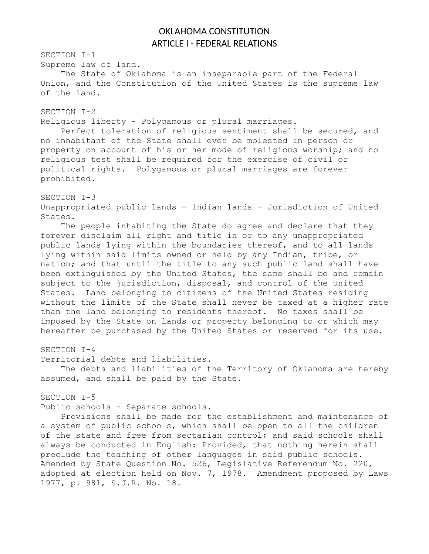## OKLAHOMA CONSTITUTION ARTICLE I - FEDERAL RELATIONS

SECTION I-1 Supreme law of land. The State of Oklahoma is an inseparable part of the Federal Union, and the Constitution of the United States is the supreme law of the land. SECTION I-2 Religious liberty - Polygamous or plural marriages. Perfect toleration of religious sentiment shall be secured, and no inhabitant of the State shall ever be molested in person or property on account of his or her mode of religious worship; and no religious test shall be required for the exercise of civil or political rights. Polygamous or plural marriages are forever prohibited. SECTION I-3 Unappropriated public lands - Indian lands - Jurisdiction of United States. The people inhabiting the State do agree and declare that they forever disclaim all right and title in or to any unappropriated public lands lying within the boundaries thereof, and to all lands lying within said limits owned or held by any Indian, tribe, or nation; and that until the title to any such public land shall have been extinguished by the United States, the same shall be and remain subject to the jurisdiction, disposal, and control of the United States. Land belonging to citizens of the United States residing without the limits of the State shall never be taxed at a higher rate than the land belonging to residents thereof. No taxes shall be imposed by the State on lands or property belonging to or which may hereafter be purchased by the United States or reserved for its use. SECTION I-4 Territorial debts and liabilities. The debts and liabilities of the Territory of Oklahoma are hereby assumed, and shall be paid by the State. SECTION I-5 Public schools - Separate schools. Provisions shall be made for the establishment and maintenance of a system of public schools, which shall be open to all the children of the state and free from sectarian control; and said schools shall always be conducted in English: Provided, that nothing herein shall preclude the teaching of other languages in said public schools. Amended by State Question No. 526, Legislative Referendum No. 220,

adopted at election held on Nov. 7, 1978. Amendment proposed by Laws

1977, p. 981, S.J.R. No. 18.